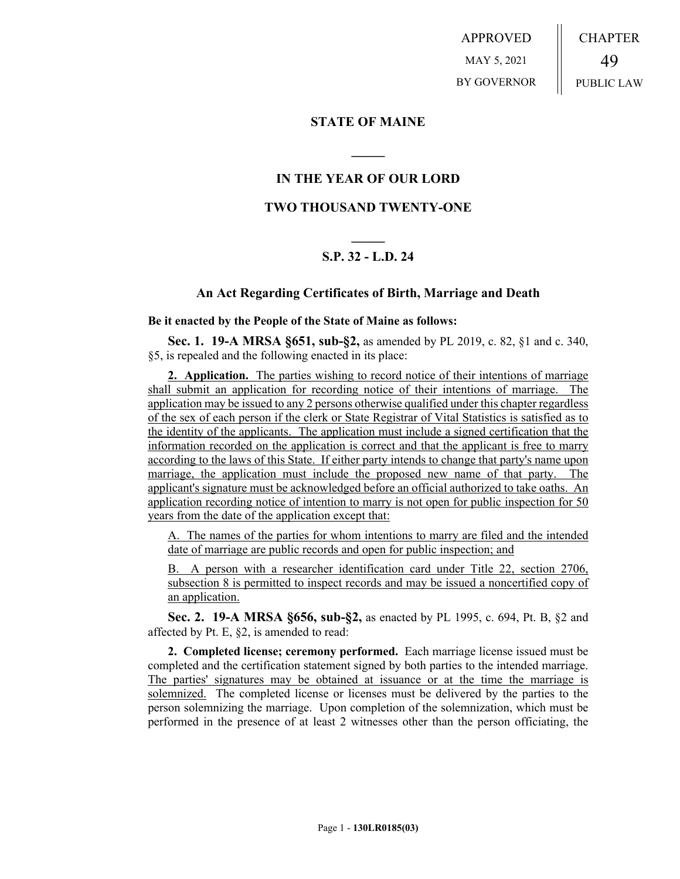APPROVED MAY 5, 2021 BY GOVERNOR CHAPTER 49 PUBLIC LAW

# **STATE OF MAINE**

# **IN THE YEAR OF OUR LORD**

**\_\_\_\_\_**

# **TWO THOUSAND TWENTY-ONE**

# **\_\_\_\_\_ S.P. 32 - L.D. 24**

## **An Act Regarding Certificates of Birth, Marriage and Death**

**Be it enacted by the People of the State of Maine as follows:**

**Sec. 1. 19-A MRSA §651, sub-§2,** as amended by PL 2019, c. 82, §1 and c. 340, §5, is repealed and the following enacted in its place:

**2. Application.** The parties wishing to record notice of their intentions of marriage shall submit an application for recording notice of their intentions of marriage. The application may be issued to any 2 persons otherwise qualified under this chapter regardless of the sex of each person if the clerk or State Registrar of Vital Statistics is satisfied as to the identity of the applicants. The application must include a signed certification that the information recorded on the application is correct and that the applicant is free to marry according to the laws of this State. If either party intends to change that party's name upon marriage, the application must include the proposed new name of that party. The applicant's signature must be acknowledged before an official authorized to take oaths. An application recording notice of intention to marry is not open for public inspection for 50 years from the date of the application except that:

A. The names of the parties for whom intentions to marry are filed and the intended date of marriage are public records and open for public inspection; and

B. A person with a researcher identification card under Title 22, section 2706, subsection 8 is permitted to inspect records and may be issued a noncertified copy of an application.

**Sec. 2. 19-A MRSA §656, sub-§2,** as enacted by PL 1995, c. 694, Pt. B, §2 and affected by Pt. E, §2, is amended to read:

**2. Completed license; ceremony performed.** Each marriage license issued must be completed and the certification statement signed by both parties to the intended marriage. The parties' signatures may be obtained at issuance or at the time the marriage is solemnized. The completed license or licenses must be delivered by the parties to the person solemnizing the marriage. Upon completion of the solemnization, which must be performed in the presence of at least 2 witnesses other than the person officiating, the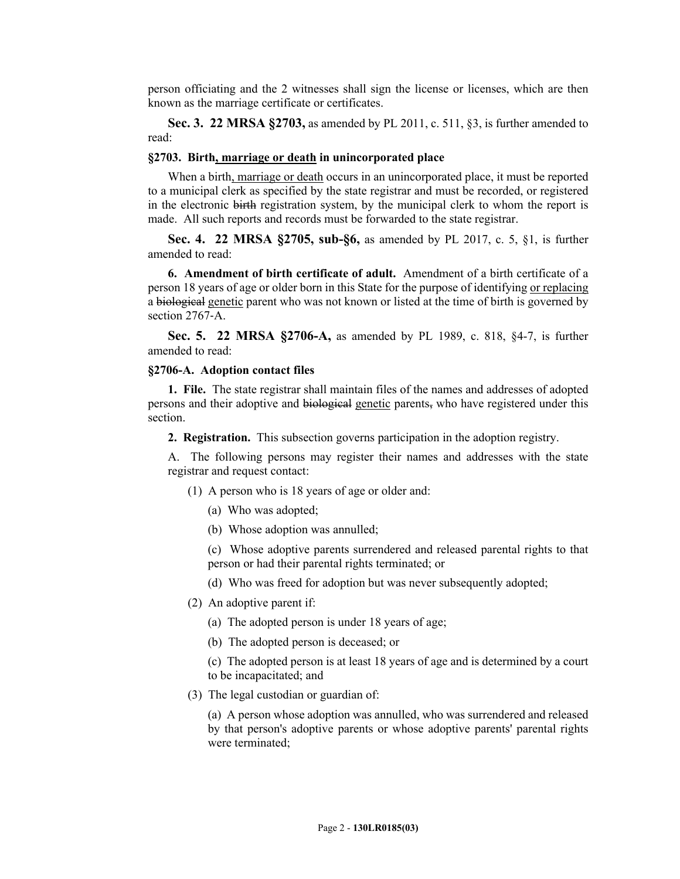person officiating and the 2 witnesses shall sign the license or licenses, which are then known as the marriage certificate or certificates.

**Sec. 3. 22 MRSA §2703,** as amended by PL 2011, c. 511, §3, is further amended to read:

#### **§2703. Birth, marriage or death in unincorporated place**

When a birth, marriage or death occurs in an unincorporated place, it must be reported to a municipal clerk as specified by the state registrar and must be recorded, or registered in the electronic birth registration system, by the municipal clerk to whom the report is made. All such reports and records must be forwarded to the state registrar.

**Sec. 4. 22 MRSA §2705, sub-§6,** as amended by PL 2017, c. 5, §1, is further amended to read:

**6. Amendment of birth certificate of adult.** Amendment of a birth certificate of a person 18 years of age or older born in this State for the purpose of identifying or replacing a biological genetic parent who was not known or listed at the time of birth is governed by section 2767-A.

**Sec. 5. 22 MRSA §2706-A,** as amended by PL 1989, c. 818, §4-7, is further amended to read:

#### **§2706-A. Adoption contact files**

**1. File.** The state registrar shall maintain files of the names and addresses of adopted persons and their adoptive and biological genetic parents, who have registered under this section.

**2. Registration.** This subsection governs participation in the adoption registry.

A. The following persons may register their names and addresses with the state registrar and request contact:

- (1) A person who is 18 years of age or older and:
	- (a) Who was adopted;
	- (b) Whose adoption was annulled;

(c) Whose adoptive parents surrendered and released parental rights to that person or had their parental rights terminated; or

- (d) Who was freed for adoption but was never subsequently adopted;
- (2) An adoptive parent if:
	- (a) The adopted person is under 18 years of age;
	- (b) The adopted person is deceased; or

(c) The adopted person is at least 18 years of age and is determined by a court to be incapacitated; and

(3) The legal custodian or guardian of:

(a) A person whose adoption was annulled, who was surrendered and released by that person's adoptive parents or whose adoptive parents' parental rights were terminated;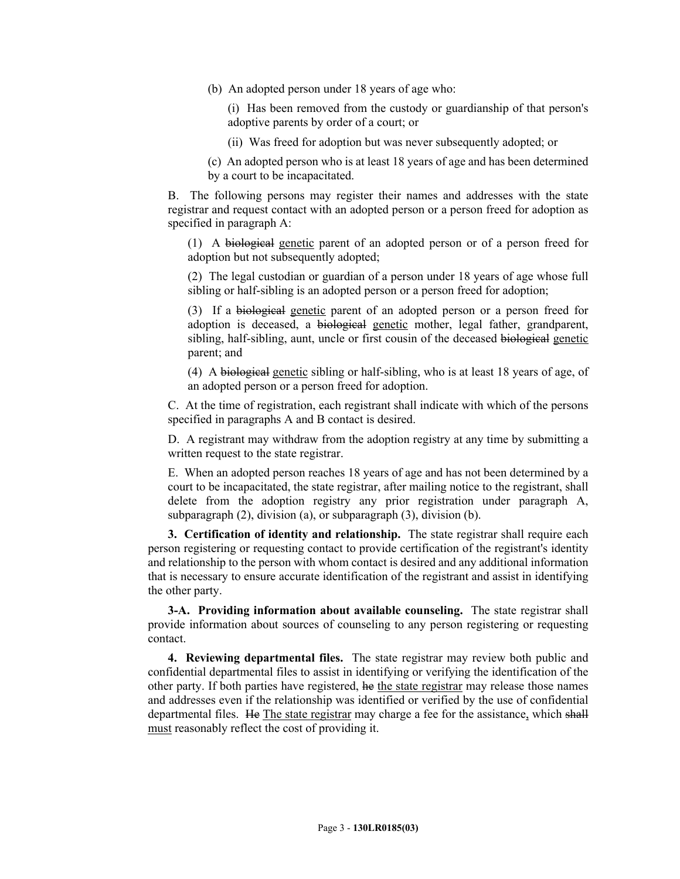(b) An adopted person under 18 years of age who:

(i) Has been removed from the custody or guardianship of that person's adoptive parents by order of a court; or

(ii) Was freed for adoption but was never subsequently adopted; or

(c) An adopted person who is at least 18 years of age and has been determined by a court to be incapacitated.

B. The following persons may register their names and addresses with the state registrar and request contact with an adopted person or a person freed for adoption as specified in paragraph A:

(1) A biological genetic parent of an adopted person or of a person freed for adoption but not subsequently adopted;

(2) The legal custodian or guardian of a person under 18 years of age whose full sibling or half-sibling is an adopted person or a person freed for adoption;

(3) If a biological genetic parent of an adopted person or a person freed for adoption is deceased, a biological genetic mother, legal father, grandparent, sibling, half-sibling, aunt, uncle or first cousin of the deceased biological genetic parent; and

(4) A biological genetic sibling or half-sibling, who is at least 18 years of age, of an adopted person or a person freed for adoption.

C. At the time of registration, each registrant shall indicate with which of the persons specified in paragraphs A and B contact is desired.

D. A registrant may withdraw from the adoption registry at any time by submitting a written request to the state registrar.

E. When an adopted person reaches 18 years of age and has not been determined by a court to be incapacitated, the state registrar, after mailing notice to the registrant, shall delete from the adoption registry any prior registration under paragraph A, subparagraph (2), division (a), or subparagraph (3), division (b).

**3. Certification of identity and relationship.** The state registrar shall require each person registering or requesting contact to provide certification of the registrant's identity and relationship to the person with whom contact is desired and any additional information that is necessary to ensure accurate identification of the registrant and assist in identifying the other party.

**3-A. Providing information about available counseling.** The state registrar shall provide information about sources of counseling to any person registering or requesting contact.

**4. Reviewing departmental files.** The state registrar may review both public and confidential departmental files to assist in identifying or verifying the identification of the other party. If both parties have registered, he the state registrar may release those names and addresses even if the relationship was identified or verified by the use of confidential departmental files. He The state registrar may charge a fee for the assistance, which shall must reasonably reflect the cost of providing it.